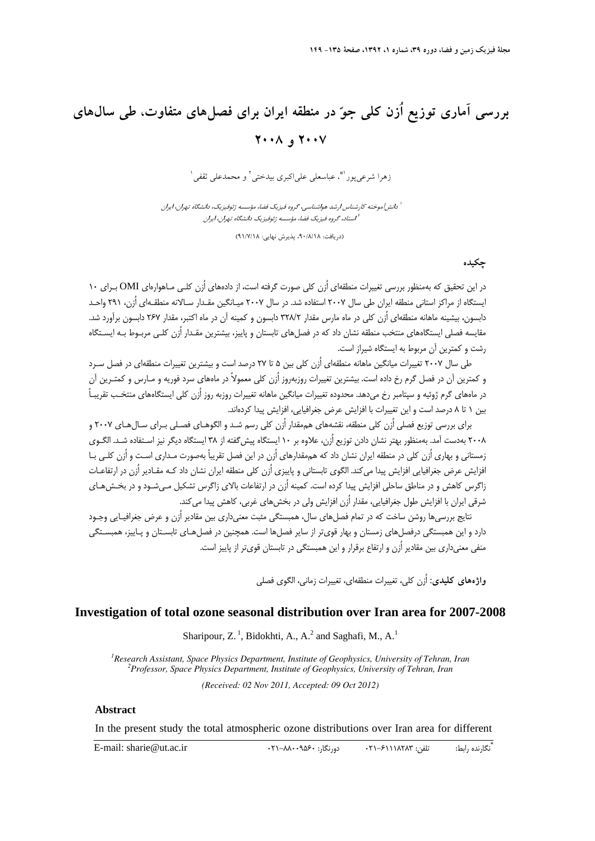## **بررسي آماري توزيع اُزن كلي جو در منطقه ايران براي فصلهاي متفاوت، طي سالهاي 2007 و 2008**

زهرا شرعي يو د <sup>ه</sup>ي عباسعلي علي اکبري بيدختي <sup>٢</sup> و محمدعلي ثقفي <sup>١</sup>

آموخته كارشناس ارشد هواشناسي، گروه فيزيك فضا، مؤسسه ژئوفيزيك، دانشگاه تهران، ايران <sup>1</sup> دانش استاد، گروه فيزيك فضا، مؤسسه ژئوفيزيك دانشگاه تهران، ايران <sup>2</sup>

(دريافت: ،90/8/18 پذيرش نهايي: 91/7/18)

## **چكيده**

در اين تحقيق كه بهمنظور بررسي تغييرات منطقهاي اُزن كلي صورت گرفته است، از دادههاي اُزن كلـي مـاهوارهاي OMI بـراي 10 ايستگاه از مراكز استاني منطقه ايران طي سال 2007 استفاده شد. در سال 2007 ميـانگين مقـدار سـالانه منطقـهاي اُزن، 291 واحـد دابسون، بيشينه ماهانه منطقهاي اُزن كلي در ماه مارس مقدار 328/2 دابسون و كمينه آن در ماه اكتبر، مقدار 267 دابسون برآورد شد. مقايسه فصلي ايستگاههاي منتخب منطقه نشان داد كه در فصلهاي تابستان و پاييز، بيشترين مقـدار اُزن كلـي مربـوط بـه ايسـتگاه رشت و كمترين آن مربوط به ايستگاه شيراز است.

طي سال 2007 تغييرات ميانگين ماهانه منطقهاي اُزن كلي بين 5 تا 27 درصد است و بيشترين تغييرات منطقهاي در فصل سـرد و كمترين آن در فصل گرم رخ داده است. بيشترين تغييرات روزبهروز اُزن كلي معمولاً در ماههاي سرد فوريه و مـارس و كمتـرين آن در ماههاي گرم ژوئيه و سپتامبر رخ ميدهد. محدوده تغييرات ميانگين ماهانه تغييرات روزبه روز اُزن كلي ايستگاههاي منتخـب تقريبـاً بين 1 تا 8 درصد است و اين تغييرات با افزايش عرض جغرافيايي، افزايش پيدا كردهاند.

براي بررسي توزيع فصلي اُزن كلي منطقه، نقشههاي هممقدار اُزن كلي رسم شـد و الگوهـاي فصـلي بـراي سـالهـاي 2007 و 2008 بهدست آمد. بهمنظور بهتر نشان دادن توزيع اُزن، علاوه بر 10 ايستگاه پيشگفته از 38 ايستگاه ديگر نيز اسـتفاده شـد. الگـوي زمستاني و بهاري اُزن كلي در منطقه ايران نشان داد كه هممقدارهاي اُزن در اين فصل تقريباً بهصورت مـداري اسـت و اُزن كلـي بـا افزايش عرض جغرافيايي افزايش پيدا ميكند. الگوي تابستاني و پاييزي اُزن كلي منطقه ايران نشان داد كـه مقـادير اُزن در ارتفاعـات زاگرس كاهش و در مناطق ساحلي افزايش پيدا كرده است. كمينه اُزن در ارتفاعات بالاي زاگرس تشكيل مـيشـود و در بخـشهـاي شرقي ايران با افزايش طول جغرافيايي، مقدار اُزن افزايش ولي در بخشهاي غربي، كاهش پيدا ميكند.

نتايج بررسيها روشن ساخت كه در تمام فصلهاي سال، همبستگي مثبت معنيداري بين مقادير اُزن و عرض جغرافيـايي وجـود دارد و اين همبستگي درفصلهاي زمستان و بهار قويتر از ساير فصلها است. همچنين در فصلهـاي تابسـتان و پـاييز، همبسـتگي منفي معنيداري بين مقادير اُزن و ارتفاع برقرار و اين همبستگي در تابستان قويتر از پاييز است.

**واژههاي كليدي:** اُزن كلي، تغييرات منطقهاي، تغييرات زماني، الگوي فصلي

## **Investigation of total ozone seasonal distribution over Iran area for 2007-2008**

Sharipour,  $Z^1$ , Bidokhti, A., A.<sup>2</sup> and Saghafi, M., A.<sup>1</sup>

*1 Research Assistant, Space Physics Department, Institute of Geophysics, University of Tehran, Iran <sup>2</sup> Professor, Space Physics Department, Institute of Geophysics, University of Tehran, Iran (Received: 02 Nov 2011, Accepted: 09 Oct 2012)*

## **Abstract**

In the present study the total atmospheric ozone distributions over Iran area for different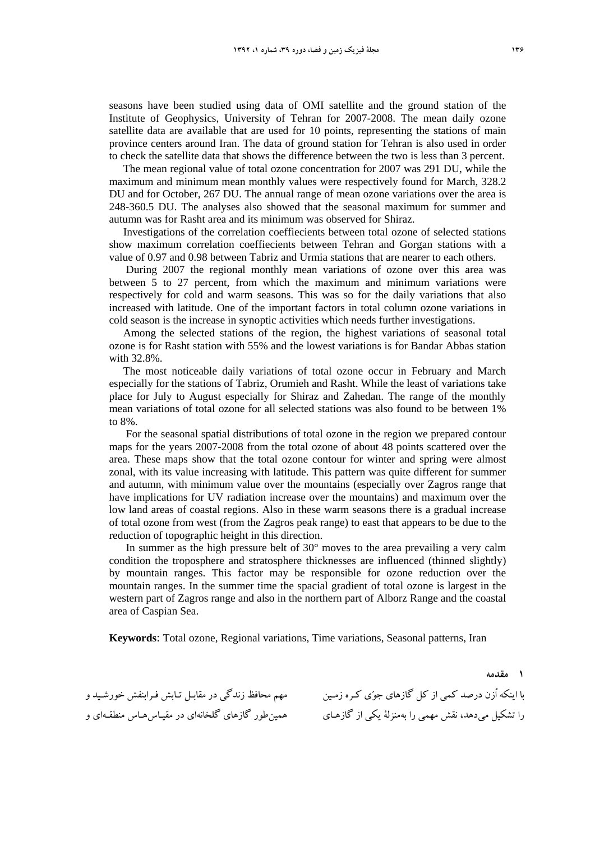seasons have been studied using data of OMI satellite and the ground station of the Institute of Geophysics, University of Tehran for 2007-2008. The mean daily ozone satellite data are available that are used for 10 points, representing the stations of main province centers around Iran. The data of ground station for Tehran is also used in order to check the satellite data that shows the difference between the two is less than 3 percent.

The mean regional value of total ozone concentration for 2007 was 291 DU, while the maximum and minimum mean monthly values were respectively found for March, 328.2 DU and for October, 267 DU. The annual range of mean ozone variations over the area is 248-360.5 DU. The analyses also showed that the seasonal maximum for summer and autumn was for Rasht area and its minimum was observed for Shiraz.

Investigations of the correlation coeffiecients between total ozone of selected stations show maximum correlation coeffiecients between Tehran and Gorgan stations with a value of 0.97 and 0.98 between Tabriz and Urmia stations that are nearer to each others.

 During 2007 the regional monthly mean variations of ozone over this area was between 5 to 27 percent, from which the maximum and minimum variations were respectively for cold and warm seasons. This was so for the daily variations that also increased with latitude. One of the important factors in total column ozone variations in cold season is the increase in synoptic activities which needs further investigations.

Among the selected stations of the region, the highest variations of seasonal total ozone is for Rasht station with 55% and the lowest variations is for Bandar Abbas station with 32.8%.

The most noticeable daily variations of total ozone occur in February and March especially for the stations of Tabriz, Orumieh and Rasht. While the least of variations take place for July to August especially for Shiraz and Zahedan. The range of the monthly mean variations of total ozone for all selected stations was also found to be between 1% to 8%.

 For the seasonal spatial distributions of total ozone in the region we prepared contour maps for the years 2007-2008 from the total ozone of about 48 points scattered over the area. These maps show that the total ozone contour for winter and spring were almost zonal, with its value increasing with latitude. This pattern was quite different for summer and autumn, with minimum value over the mountains (especially over Zagros range that have implications for UV radiation increase over the mountains) and maximum over the low land areas of coastal regions. Also in these warm seasons there is a gradual increase of total ozone from west (from the Zagros peak range) to east that appears to be due to the reduction of topographic height in this direction.

 In summer as the high pressure belt of 30° moves to the area prevailing a very calm condition the troposphere and stratosphere thicknesses are influenced (thinned slightly) by mountain ranges. This factor may be responsible for ozone reduction over the mountain ranges. In the summer time the spacial gradient of total ozone is largest in the western part of Zagros range and also in the northern part of Alborz Range and the coastal area of Caspian Sea.

**Keywords**: Total ozone, Regional variations, Time variations, Seasonal patterns, Iran

با اینکه أزن درصد کمی از کل گازهای جوّی کـره زمـین مهم محافظ زندگی در مقابـل تـابش فـرابنفش خورشـید و را تشکیل میدهد، نقش مهمی را بهمنزلهٔ یکی از گازهـای همینطور گازهای گلخانهای در مقیـاس۵مـاس منطقـهای و

**1 مقدمه**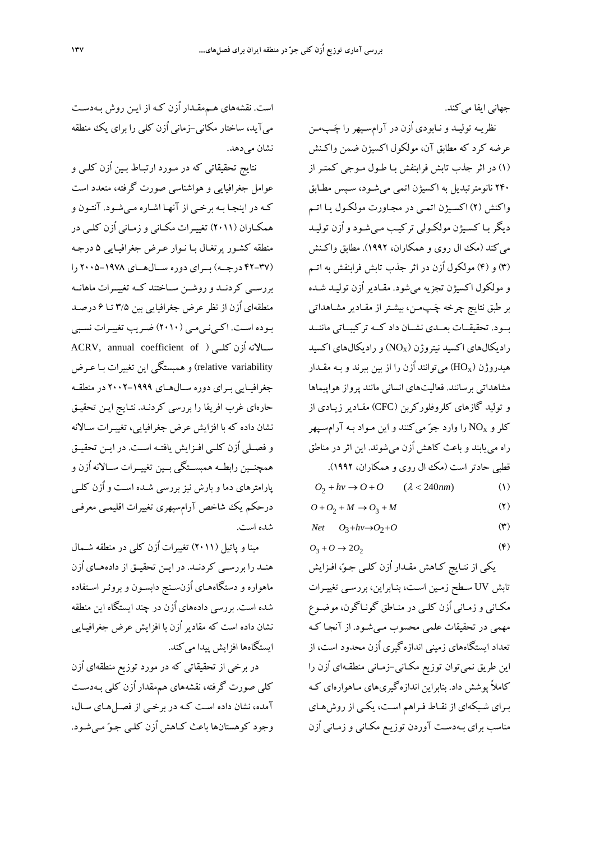جهاني ايفا ميكند.

نظريـه توليـد ونـابودي اُزن در آرامسـپهررا چـپمـن عرضه كرد كه مطابق آن، مولكول اكسيژن ضمن واكـنش (1) در اثر جذب تابش فرابنفش بـا طـول مـوجي كمتـر از 240 نانومترتبديل به اكسيژن اتمي ميشـود، سـپس مطـابق واكنش (2) اكسـيژن اتمـي در مجـاورت مولكـول يـا اتـم ديگر بـا كسـيژن مولكـولي تركيـب مـي شـود واُزن توليـد مي كند (مك ال روي و همكاران، ۱۹۹۲). مطابق واكـنش (3) و (4) مولكول اُزن در اثر جذب تابش فرابنفش به اتـم و مولكول اكسيژن تجزيه ميشود. مقـادير اُزن توليـد شـده بر طبق نتايج چرخه چـپمـن، بيشـتر از مقـادير مشـاهداتي بــود. تحقيقــات بعــدي نشــان داد كــه تركيبــاتي ماننــد راديكالهاي اكسيد نيتروژن (NOx (و راديكالهاي اكسيد هيدروژن ( $\rm HO_{X}$ ) ميتوانند اُزن را از بين ببرند و بـه مقـدار مشاهداتي برسانند. فعاليتهاي انساني مانند پرواز هواپيماها و توليد گازهاي كلروفلوركربن (CFC) مقـادير زيـادي از کلر و NO<sub>x</sub> را وارد جوّ ميكنند و اين مـواد بـه آرامسـپهر راه مييابند و باعث كاهش اُزن ميشوند. اين اثر در مناطق قطبي حادتراست (مك ال روي و همكاران، 1992).

 $O_2 + hv \rightarrow O + O$  ( $\lambda < 240 nm$ ) (1)

 $O + O_2 + M \rightarrow O_3 + M$  (**1**)

$$
Net \t O_3 + hv \to O_2 + O \t (*)
$$

$$
O_3 + O \rightarrow 2O_2 \tag{$\mathfrak{F}$}
$$

يكي از نتـايج كـاهش مقـدار اُزن كلـي جـو، افـزايش تابش UV سـطح زمـين اسـت، بنـابراين، بررسـي تغييـرات مكـاني وزمـاني اُزن كلـي در منـاطق گونـاگون، موضـوع مهمي در تحقيقات علمي محسوب مـيشـود. از آنجـا كـه تعداد ايستگاههاي زميني اندازهگيري اُزن محدود است، از اين طريق نميتوان توزيع مكـاني-زمـاني منطقـهاي اُزن را كاملاً پوشش داد. بنابراين اندازهگيريهاي مـاهوارهاي كـه بـراي شـبكهاي از نقـاط فـراهم اسـت، يكـي از روش هـاي مناسب براي بـهدسـت آوردن توزيـع مكـاني و زمـاني اُزن

است. نقشههاي هـممقـدار اُزن كـه از ايـن روش بـه دسـت ميآيد، ساختار مكاني-زماني اُزن كلي را براي يك منطقه نشان ميدهد.

نتايج تحقيقاتي كه در مـورد ارتبـاط بـين اُزن كلـي و عوامل جغرافيايي و هواشناسي صورت گرفته، متعدد است كـه در اينجـا بـه برخـي از آنهـا اشـاره مـيشـود. آنتـون و همكـاران (2011) تغييـرات مكـاني وزمـاني اُزن كلـي در منطقه كشـور پرتغـال بـا نـوار عـرض جغرافيـايي 5 درجـه (42-37 درجــه) بــراي دوره ســالهــاي 2005-1978 را بررســي كردنــد وروشــن ســاختند كــه تغييــرات ماهانــه منطقهاي اُزن از نظر عرض جغرافيايي بين 3/5 تـا 6 درصـد بـوده اسـت. اكـينـيمـي (2010) ضـريب تغييـرات نسـبي سـالانه اُزن كلــي ( ACRV, annual coefficient of relative variability) و همبستگي اين تغييرات بـا عـرض جغرافيـايي بـراي دوره سـالهـاي 2002-1999 در منطقـه حارهاي غرب افريقا را بررسي كردنـد. نتـايج ايـن تحقيـق نشان داده كه با افزايش عرض جغرافيايي، تغييـرات سـالانه و فصــلي اُزن كلــي افــزايش يافتــه اســت. در ايــن تحقيــق همچنــين رابطــه همبســتگي بــين تغييــرات ســالانه اُزن و پارامترهاي دما و بارش نيز بررسي شـده اسـت و اُزن كلـي درحكم يك شاخص آرامسپهري تغييرات اقليمـي معرفـي شده است.

مينا و پاتيل (2011) تغييرات اُزن كلي در منطقه شـمال هنــد را بررســي كردنــد. در ايــن تحقيــق از دادههــاي اُزن ماهواره و دستگاههـاي اُزنسـنج دابسـون و بروئـر اسـت فاده شده است. بررسي دادههاي اُزن در چند ايستگاه اين منطقه نشان داده است كه مقادير اُزن با افزايش عرض جغرافيـايي ايستگاهها افزايش پيدا مي كند.

در برخي از تحقيقاتي كه در مورد توزيع منطقهاي اُزن كلي صورت گرفته، نقشههاي هممقدار اُزن كلي بـهدسـت آمده، نشان داده اسـت كـه در برخـي از فصـل هـاي سـال، وجود كوهستانها باعث كـاهش اُزن كلـي جـو مـي شـود.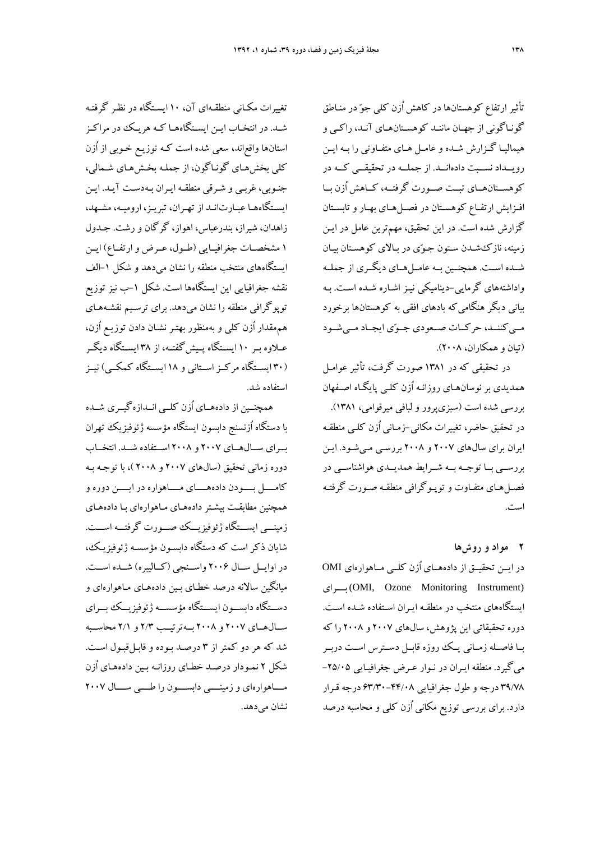تأثير ارتفاع كوهستانها در كاهش اُزن كلي جو در منـاطق گونـاگوني از جهـان ماننـد كوهسـتانهـاي آنـد، راكـي و هيماليـا گـزارش شــده و عامـل هـاي متفــاوتي را بـه ايــن رويــداد نســبت دادهانــد. از جملــه در تحقيقــي كــه در كوهســتانهــاي تبــت صــورت گرفتــه، كــاهش اُزن بــا افـزايش ارتفـاع كوهسـتان در فصـلهـاي بهـار وتابسـتان گزارش شده است. در اين تحقيق، مهمترين عامل در ايـن زمينه، نازكشـدن سـتون جـوي در بـالاي كوهسـتان بيـان شــده اســت. همچنــين بــه عامــلهــاي ديگــري از جملــه واداشتههاي گرمايي-ديناميكي نيـز اشـاره شـده اسـت . بـه بياني ديگر هنگاميكه بادهاي افقي به كوهستانها برخورد مــي كننــد، حركــات صــعودي جــوي ايجــاد مــي شــود (تيان و همكاران، 2008).

در تحقيقي كه در 1381 صورت گرفت، تأثير عوامـل همديدي بر نوسانهـاي روزانـه اُزن كلـي پايگـاه اصـ فهان بررسي شده است (سبزيپرور و لبافي ميرقوامي، 1381). در تحقيق حاضر، تغييرات مكاني-زمـاني اُزن كلـي منطقـه ايران براي سالهاي 2007 و 2008 بررسـي مـيشـود. ايـن بررســي بــا توجــه بــه شــرايط همديــدي هواشناســي در فصـلهـاي متفـاوت وتوپـوگرافي منطقـه صـورت گرفتـه است.

**2 مواد و روشها**  در ايــن تحقيــق از دادههــاي اُزن كلــي مــاهوارهاي OMI بـــراي) OMI, Ozone Monitoring Instrument) ايستگاههاي منتخب در منطقـه ايـران اسـتفاده شـده اسـت . دوره تحقيقاتي اين پژوهش، سالهاي 2007 و 2008 را كه بــا فاصــله زمــاني يــك روزه قابــل دســترس اســت دربــر ميگيرد. منطقه ايـران در نـوار عـرض جغرافيـايي -25/05 39/78 درجه و طول جغرافيايي 63/30-44/08 درجه قـرار دارد. براي بررسي توزيع مكاني اُزن كلي و محاسبه درصد

تغييرات مكـاني منطقـهاي آن، 10 ايسـتگاه در نظـر گرفتـه شـد. در انتخـاب ايـن ايسـتگاههـا كـه هريـك در مراكـز استانها واقعاند، سعي شده است كـه توزيـع خـوبي از اُزن كلي بخشهـاي گونـاگون، از جملـه بخـش هـاي شـمالي، جنـوبي، غربـي و شـرقي منطقـه ايـران بـهدسـت آيـد. ايـن ايسـتگاههـا عبـارتانـد از تهـران، تبريـز، اروميـه، مشـهد، زاهدان، شيراز، بندرعباس، اهواز، گرگان و رشت. جـدول 1 مشخصــات جغرافيــايي (طــول، عــرض وارتفــاع) ايــن ايستگاههاي منتخب منطقه را نشان ميدهد و شكل -1الف نقشه جغرافيايي اين ايستگاهها است. شكل -1ب نيز توزيع توپوگرافي منطقه را نشان ميدهد. براي ترسـيم نقشـههـاي هممقدار اُزن كلي و بهمنظور بهتـر نشـان دادن توزيـع اُزن، عــلاوه بــر 10 ايســتگاه پــيشگفتــه، از 38 ايســتگاه ديگــر (30 ايســتگاه مركــزاســتاني و 18 ايســتگاه كمكــي) نيــز استفاده شد.

همچنــين از دادههــاي اُزن كلــي انــدازهگيــري شــده با دستگاه اُزنسنج دابسون ايستگاه مؤسسه ژئوفيزيك تهران بــراي ســالهــاي 2007 و 2008 اســتفاده شــد. انتخــاب دوره زماني تحقيق (سالهاي 2007 و 2008 )، با توجـه بـه كامــــل بــــودن دادههــــاي مــــاهواره در ايــــن دوره و همچنين مطابقـت بيشـتردادههـاي مـاهوارهاي بـا دادههـاي زمينـــي ايســـتگاه ژئوفيزيـــك صـــورت گرفتـــه اســـت. شايان ذكر است كه دستگاه دابسـون مؤسسـه ژئوفيزيـك، در اوايــل ســال 2006 واســنجي (كــاليبره) شــده اســت. ميانگين سالانه درصد خطـاي بـين دادههـاي مـاهوارهاي و دســتگاه دابســون ايســتگاه مؤسســه ژئوفيزيــك بــراي ســالهــاي 2007 و 2008 بــهترتيــب 2/3 و 2/1 محاســبه شد كه هر دو كمتر از 3 درصـد بـوده و قابـلقبـول اسـت. شكل 2 نمـودار درصـد خطـاي روزانـه بـين داده هـاي اُزن مــــاهوارهاي وزمينــــي دابســــون را طــــي ســــال 2007 نشان مے دھد.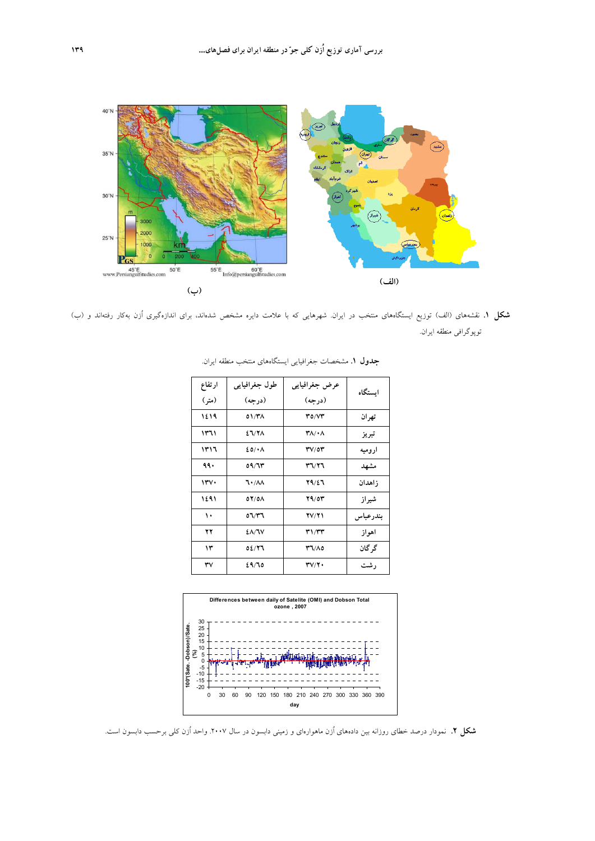

**شكل .1** نقشههاي (الف) توزيع ايستگاههاي منتخب در ايران. شهرهايي كه با علامت دايره مشخص شدهاند، براي اندازهگيري اُزن بهكار رفتهاند و (ب) توپوگرافي منطقه ايران.

| ارتفاع | طول جغرافیایی | عرض جغرافيايي                           | استگاه   |
|--------|---------------|-----------------------------------------|----------|
| (متر ) | (در حه)       | (در حه)                                 |          |
| ۱٤١٩   | 01/۳۸         | 30/V                                    | تهران    |
| ۱۳٦۱   | <b>٤٦/٢٨</b>  | ۰۸/۰۸                                   | تبريز    |
| ۱۳۱٦   | 20/4A         | $\mathbf{r} \mathbf{v}$ /0 $\mathbf{r}$ | ار و ميه |
| ۹۹۰    | ٥٩/٦٣         | ۳٦/۲٦                                   | مشهد     |
| ۱۳۷۰   | ٦٠/٨٨         | 29/27                                   | ز اهدان  |
| ۱٤٩١   | 07/08         | 79/03                                   | شير از   |
| ۱۰     | ۳٦/۳٦         | <b>TV/T1</b>                            | بندرعباس |
| ۲۲     | <b>٤٨/٦٧</b>  | ۳۱/۳۳                                   | اهو از   |
| ۱۳     | 02/77         | 0٨/٣٦                                   | گر گان   |
| ٣٧     | ۲۹/٦٥         | $\mathbf{r} \mathbf{v}/\mathbf{r}$      | ر شت     |

**جدول .1** مشخصات جغرافيايي ايستگاههاي منتخب منطقه ايران.



**شكل .2** نمودار درصد خطاي روزانه بين دادههاي اُزن ماهوارهاي و زميني دابسون در سال .2007 واحد اُزن كلي برحسب دابسون است.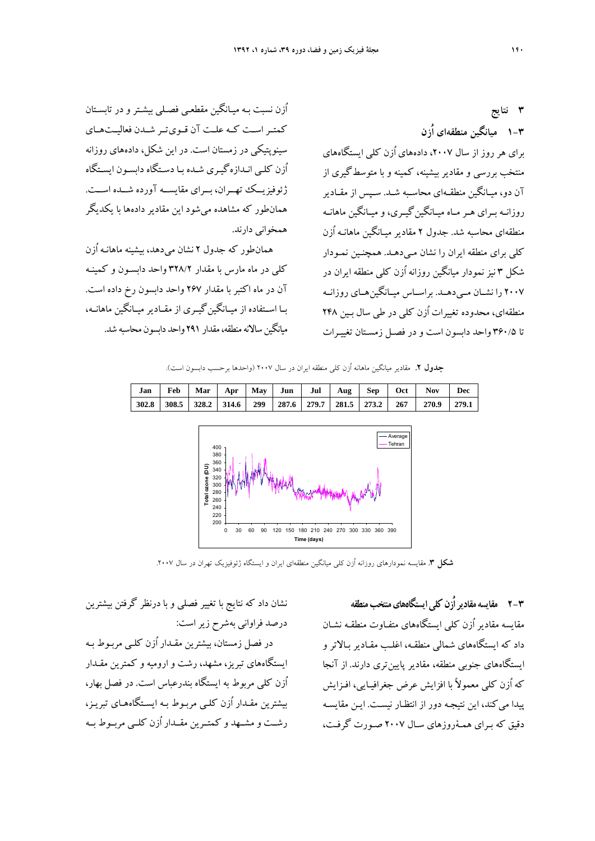اُزن نسبت بـه ميـانگين مقطعـي فصـلي بيشـترو در تابسـتان كمتــراســت كــه علــت آن قــويتــر شــدن فعاليــتهــاي سينوپتيكي در زمستان است. در اين شكل، دادههاي روزانه اُزن كلـي انـدازهگيـري شـده بـا دسـتگاه دابسـون ايسـتگاه ژئوفيزيــك تهــران، بــراي مقايســه آورده شــده اســت. همانطور كه مشاهده ميشود اين مقادير دادهها با يكديگر همخواني دارند.

همانطور كه جدول 2 نشان ميدهد، بيشينه ماهانـه اُزن كلي در ماه مارس با مقدار 328/2 واحد دابسـون و كمينـه آن در ماه اكتبر با مقدار 267 واحد دابسون رخ داده است. بــا اســتفاده از ميــانگينگيــري از مقــادير ميــانگين ماهانــه، ميانگينسالانهمنطقه،مقدار 291 واحد دابسون محاسبه شد.

**3 نتايج 1-3 ميانگين منطقهاي اُزن**  براي هر روز از سال ،2007 دادههاي اُزن كلي ايستگاههاي منتخب بررسي و مقادير بيشينه، كمينه و با متوسطگيري از آن دو، ميـانگين منطقـهاي محاسـبه شـد. سـپس از مقـادير روزانـه بـراي هـرمـاه ميـانگينگيـري، و ميـانگين ماهانـه منطقهاي محاسبه شد. جدول 2 مقادير ميـانگين ماهانـه اُزن كلي براي منطقه ايران را نشان مـيدهـد. همچنـين نمـودار شكل 3 نيز نمودار ميانگين روزانه اُزن كلي منطقه ايران در 2007 را نشــان مــيدهــد. براســاس ميــانگينهــاي روزانــه منطقهاي، محدوده تغييرات اُزن كلي در طي سال بـين 248 تا 360/5 واحد دابسون است و در فصـل زمسـتان تغييـرات

**جدول .2** مقادير ميانگين ماهانه اُزن كلي منطقه ايران در سال 2007 (واحدها برحسب دابسون است).



**شكل .3** مقايسه نمودارهاي روزانه اُزن كلي ميانگين منطقهاي ايران و ايستگاه ژئوفيزيك تهران در سال .2007

**2-3 مقايسهمقاديراُزنكليايستگاههايمنتخبمنطقه**  مقايسه مقادير اُزن كلي ايستگاههاي متفـاوت منطقـه نشـان داد كه ايستگاههاي شمالي منطقـه، اغلـب مقـادير بـالاتر و ايستگاههاي جنوبي منطقه، مقادير پايينتري دارند. از آنجا كه اُزن كلي معمولاً با افزايش عرض جغرافيـايي، افـزايش پيدا ميكند، اين نتيجـه دور از انتظـار نيسـت. ايـن مقايسـه دقيق كه بـراي همـةروزهاي سـال 2007 صـورت گرفـت،

نشان داد كه نتايج با تغيير فصلي و با درنظر گرفتن بيشترين درصد فراواني بهشرح زيراست:

در فصل زمستان، بيشترين مقـدار اُزن كلـي مربـوط بـه ايستگاههاي تبريز، مشهد، رشت و اروميه و كمترين مقـدار اُزن كلي مربوط به ايستگاه بندرعباس است. در فصل بهار، بيشترين مقـدار اُزن كلـي مربـوط بـه ايسـتگاه هـاي تبريـز، رشــت و مشــهد و كمتــرين مقــدار اُزن كلــي مربــوط بــه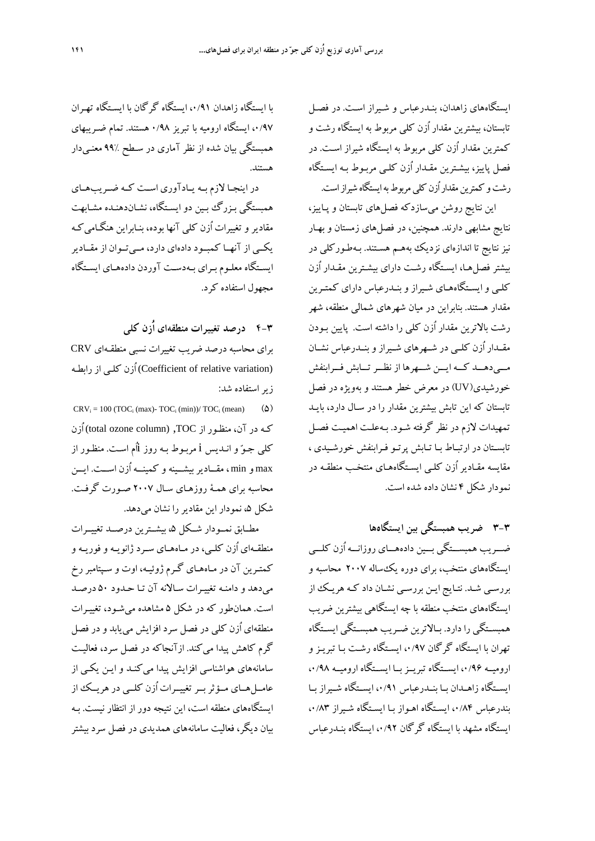ايستگاههاي زاهدان، بنـدرعباس و شـيراز اسـت. در فصـل تابستان، بيشترين مقدار اُزن كلي مربوط به ايستگاه رشت و كمترين مقدار اُزن كلي مربوط به ايستگاه شيراز اسـت. در فصل پاييز، بيشـترين مقـدار اُزن كلـي مربـوط بـه ايسـتگاه رشت و كمترين مقدار اُزن كلي مربوط به ايستگاه شيراز است.

اين نتايج روشن ميسازدكه فصلهاي تابستان و پـاييز، نتايج مشابهي دارند. همچنين، در فصلهاي زمستان و بهـار نيز نتايج تا اندازهاي نزديك بههـم هسـتند. بـهطـوركلي در بيشتر فصلهـا، ايسـتگاه رشـت داراي بيشـترين مقـدار اُزن كلـي وايسـتگاههـاي شـيراز وبنـدرعباس داراي كمتـرين مقدار هستند. بنابراين در ميان شهرهاي شمالي منطقه، شهر رشت بالاترين مقدار اُزن كلي را داشته است. پايين بـودن مقــدار اُزن كلــي در شــهرهاي شــيراز وبنــدرعباس نشــان مـــي دهـــد كـــه ايـــن شـــهرها از نظـــر تـــابش فـــرابنفش خورشيدي(UV (در معرض خطر هستند و بهويژه در فصل تابستان كه اين تابش بيشترين مقدار را در سـال دارد، بايـد تمهيدات لازم در نظر گرفته شـود. بـهعلـت اهميـت فصـل تابسـتان در ارتبـاط بـا تـابش پرتـو فـرابنفش خورشـيدي ، مقايسه مقـادير اُزن كلـي ايسـتگاههـاي منتخـب منطقـه در نمودار شكل 4 نشان داده شده است.

**3-3 ضريب همبستگي بين ايستگاهها**  ضـــريب همبســـتگي بـــين دادههـــاي روزانـــه اُزن كلـــي ايستگاههاي منتخب، براي دوره يكساله 2007 محاسبه و بررسـي شـد. نتـايج ايـن بررسـي نشـان داد كـه هريـك از ايستگاههاي منتخب منطقه با چه ايستگاهي بيشترين ضريب همبســتگي را دارد. بــالاترين ضــريب همبســتگي ايســتگاه تهران با ايستگاه گرگان ،0/97 ايسـتگاه رشـت بـا تبريـز و اروميــه ۰/۹۶ ايســتگاه تبريــز بــا ايســتگاه اروميــه ۰/۹۸، ايســتگاه زاهــدان بــا بنــدرعباس ،0/91 ايســتگاه شــيراز بــا بندرعباس ۰/۸۴، ايسـتگاه اهـواز بـا ايسـتگاه شـيراز ۰/۸۳ ايستگاه مشهد با ايستگاه گرگان ،0/92 ايستگاه بنـدرعباس

با ايستگاه زاهدان ،0/91 ايستگاه گرگان با ايسـتگاه تهـران ،0/97 ايستگاه اروميه با تبريز 0/98 هستند. تمام ضـريبهاي همبستگي بيان شده از نظر آماري در سـطح 99% معنـيدار هستند.

در اينجــا لازم بــه يــادآوري اســت كــه ضــريبهــاي همبستگي بـزرگ بـين دو ايسـتگاه، نشـان دهنـده مشـابهت مقادير و تغييرات اُزن كلي آنها بوده، بنـابراين هنگـامي كـه يكــي از آنهــا كمبــود دادهاي دارد، مــيتــوان از مقــادير ايسـتگاه معلـوم بـراي بـهدسـت آوردن دادههـاي ايسـتگاه مجهول استفاده كرد.

**4-3 درصد تغييرات منطقهاي اُزن كلي**  براي محاسبه درصد ضريب تغييرات نسبي منطقـهاي CRV

(variation relative of Coefficient (اُزن كلـي از رابطـه زيراستفاده شد:

 $CRV_i = 100 (TOC_i (max) - TOC_i (min))/ TOC_i (mean)$  ( $\Delta$ ) كـه در آن، منظـور از TOC,) column ozone total (اُزن كلي جـو و انـديس i مربـوط بـه روز iاُم اسـت. منظـور از max و min ، مقــاديربيشــينه و كمينــه اُزن اســت. ايــن محاسبه براي همـة روزهـاي سـال 2007 صـورت گرفـت. شكل ۵، نمودار اين مقادير را نشان مي دهد.

مطــابق نمــودار شــكل ،5 بيشــترين درصــد تغييــرات منطقـهاي اُزن كلـي، در مـاههـاي سـرد ژانويـه و فوريـه و كمتـرين آن در مـاههـاي گـرم ژوئيـه، اوت و سـپتامبررخ ميدهد و دامنـه تغييـرات سـالانه آن تـا حـ دود 50 درصـد است. همانطور كه در شكل 5 مشاهده ميشـود، تغييـرات منطقهاي اُزن كلي در فصل سرد افزايش مييابد و در فصل گرم كاهش پيدا ميكند. ازآنجاكه در فصل سرد، فعاليـت سامانههاي هواشناسي افزايش پيدا ميكنـد و ايـن يكـي از عامــلهــاي مــؤثربــرتغييــرات اُزن كلــي در هريــ ك از ايستگاههاي منطقه است، اين نتيجه دور از انتظار نيست. بـه بيان ديگر، فعاليت سامانههاي همديدي در فصل سرد بيشتر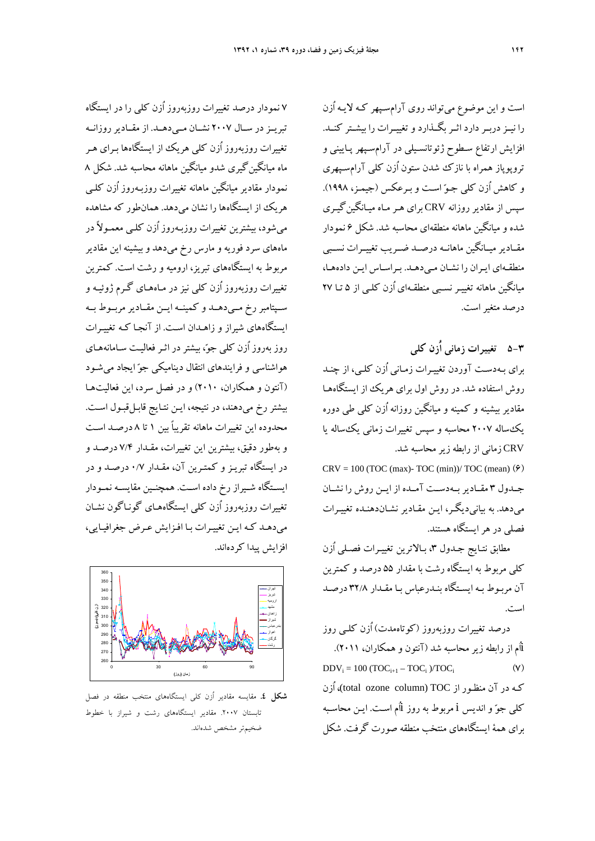است و اين موضوع ميتواند روي آرامسـپهر كـه لايـه اُزن را نيــزدربــردارد اثــربگــذارد وتغييــرات را بيشــتر كنــد. افزايش ارتفاع سـطوح ژئوتانسـيلي در آرامسـپهر پـاييني و تروپوپاز همراه با نازك شدن ستون اُزن كلي آرامسـپهري و كاهش اُزن كلي جـو اسـت و بـرعكس (جيمـز، 1998). سپس از مقادير روزانه CRV براي هـرمـاه ميـانگينگيـري شده و ميانگين ماهانه منطقهاي محاسبه شد. شكل 6 نمودار مقــادير ميــانگين ماهانــه درصــد ضــريب تغييــرات نســبي منطقـهاي ايـران را نشـان مـيدهـد. بـراسـاس ايـن دادههـا، ميانگين ماهانه تغييـر نسـبي منطقـهاي اُزن كلـي از 5 تـا 27 درصد متغيراست.

**5-3 تغييرات زماني اُزن كلي**  براي بـهدسـت آوردن تغييـرات زمـاني اُزن كلـي، از چنـد روش استفاده شد. در روش اول براي هريك از ايستگاههـا مقادير بيشينه و كمينه و ميانگين روزانه اُزن كلي طي دوره يكساله 2007 محاسبه و سپس تغييرات زماني يكساله يا CRV زماني از رابطه زيرمحاسبه شد.

 $CRV = 100$  (TOC (max)-TOC (min))/TOC (mean)  $(9)$ جــدول 3 مقــاديربــهدســت آمــده از ايــن روش را نشــان ميدهد. به بيانيديگـر، ايـن مقـادير نشـان دهنـده تغييـرات فصلي در هرايستگاه هستند.

مطابق نتـايج جـدول ٣، بـالاترين تغييـرات فصـلي اُزن كلي مربوط به ايستگاه رشت با مقدار 55 درصد و كمترين آن مربـوط بـه ايسـتگاه بنـدرعباس بـا مقـدار 32/8 درصـد است.

درصد تغييرات روزبهروز (كوتاهمدت) اُزن كلـي روز iاُم از رابطه زيرمحاسبه شد (آنتون و همكاران، 2011).  $DDV_i = 100 (TOC_{i+1} - TOC_i)/TOC_i$  (Y) كـه در آن منظـور از TOC) cotal ozone column )، اُزن كلي جو و انديس i مربوط به روز iاُم اسـت. ايـن محاسـبه براي همة ايستگاههاي منتخب منطقه صورت گرفت. شكل

7 نمودار درصد تغييرات روزبهروز اُزن كلي را در ايستگاه تبريــزدر ســال 2007 نشــان مــيدهــد. از مقــاديرروزانــه تغييرات روزبهروز اُزن كلي هريك از ايستگاهها بـراي هـر ماه ميانگينگيري شدو ميانگين ماهانه محاسبه شد. شكل 8 نمودار مقادير ميانگين ماهانه تغييرات روزبـهروز اُزن كلـي هريك از ايستگاهها را نشان ميدهد. همانطور كه مشاهده ميشود، بيشترين تغييرات روزبـهروز اُزن كلـي معمـولاً در ماههاي سرد فوريه و مارس رخ ميدهد و بيشينه اين مقادير مربوط به ايستگاههاي تبريز، اروميه و رشت است. كمترين تغييرات روزبهروز اُزن كلي نيز در مـاههـاي گـرم ژوئيـه و ســپتامبررخ مــيدهــد و كمينــه ايــن مقــاديرمربــوط بــه ايستگاههاي شيراز و زاهـدان اسـت. از آنجـا كـه تغييـرات روز بهروز اُزن كلي جو، بيشتردر اثـرفعاليـت سـامانههـاي هواشناسي و فرايندهاي انتقال ديناميكي جو ايجاد ميشـود (آنتون و همكاران، 2010) و در فصل سرد، اين فعاليتهـا بيشتر رخ ميدهند، در نتيجه، ايـن نتـايج قابـلقبـول اسـت. محدوده اين تغييرات ماهانه تقريباً بين 1 تا 8 درصـد اسـت و بهطور دقيق، بيشترين اين تغييرات، مقـدار 7/4 درصـد و در ايستگاه تبريـز و كمتـرين آن، مقـدار 0/7 درصـد و در ايســتگاه شــيراز رخ داده اســت. همچنــين مقايســه نمــودار تغييرات روزبهروز اُزن كلي ايستگاههـاي گونـاگون نشـان ميدهـد كـه ايـن تغييـرات بـا افـزايش عـرض جغرافيـايي، افزايش پيدا كردهاند.



**شكل .4** مقايسه مقادير اُزن كلي ايستگاههاي منتخب منطقه در فصل تابستان .2007 مقادير ايستگاههاي رشت و شيراز با خطوط ضخيمتر مشخص شدهاند.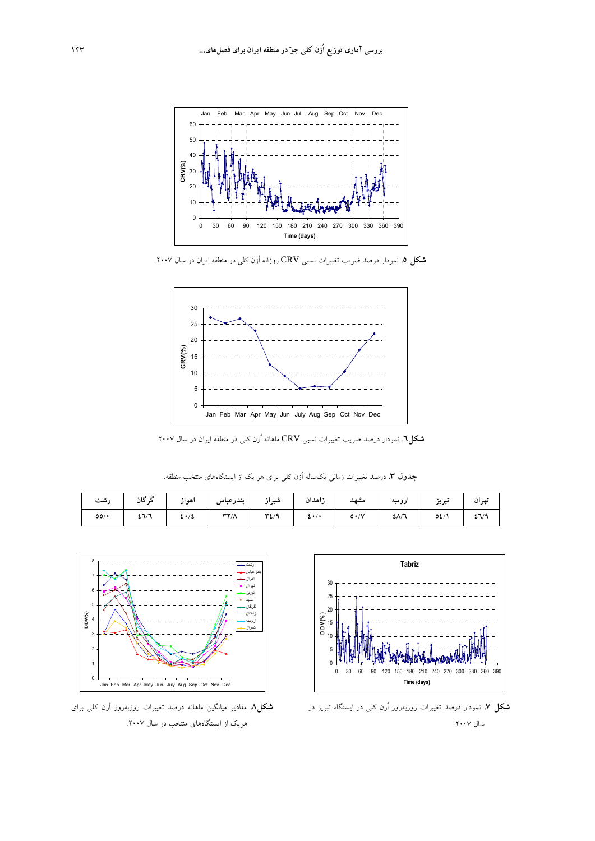

**شكل .5** نمودار درصد ضريب تغييرات نسبي CRV روزانه اُزن كلي در منطقه ايران در سال .2007



**شكل.6** نمودار درصد ضريب تغييرات نسبي CRV ماهانه اُزن كلي در منطقه ايران در سال .2007

**جدول .3** درصد تغييرات زماني يكساله اُزن كلي براي هر يك از ايستگاههاي منتخب منطقه.

| تهران   تبریز   ارومیه   مشهد   زاهدان   شیراز   بندرعباس   اهواز   گرگان   رشت |                                                                   |  |  |  |  |
|---------------------------------------------------------------------------------|-------------------------------------------------------------------|--|--|--|--|
|                                                                                 | 00/*   EVA   E*/E   TY/A   TE/9   E*/*   0*/V   EA/A   0E/1   EV9 |  |  |  |  |



**شكل .7** نمودار درصد تغييرات روزبهروز اُزن كلي در ايستگاه تبريز در سال ۲۰۰۷.



**شكل.8** مقادير ميانگين ماهانه درصد تغييرات روزبهروز اُزن كلي براي هريك از ايستگاههاي منتخب در سال .2007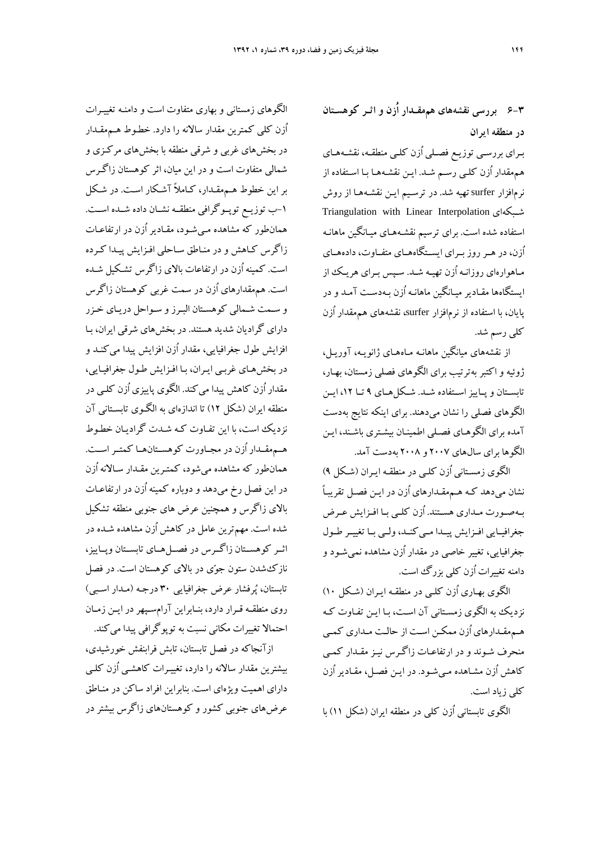**6-3 بررسي نقشههاي هممقـدار اُزن و اثـر كوهسـتان در منطقه ايران** 

بـراي بررسـي توزيـع فصـلي اُزن كلـي منطقـه، نقشـههـاي هممقدار اُزن كلـي رسـم شـد. ايـن نقشـههـا بـا اسـتفاده از نرمافزار surfer تهيه شد. در ترسـيم ايـن نقشـههـا از روش Triangulation with Linear Interpolation شـبكهاي استفاده شده است. براي ترسيم نقشـههـاي ميـانگين ماهانـه اُزن، در هــرروز بــراي ايســتگاههــاي متفــاوت، دادههــاي مـاهوارهاي روزانـه اُزن تهيـه شـد. سـپس بـراي هريـك از ايستگاهها مقـادير ميـانگين ماهانـه اُزن بـه دسـت آمـد و در پايان، با استفاده از نرمافزار surfer، نقشههاي هممقدار اُزن كلي رسم شد.

از نقشههاي ميانگين ماهانـه مـاههـاي ژانويـه، آوريـل، ژوئيه و اكتبر بهترتيب براي الگوهاي فصلي زمستان، بهـار، تابســتان و پــاييزاســتفاده شــد. شــكلهــاي 9 تــا ،12 ايــن الگوهاي فصلي را نشان ميدهند. براي اينكه نتايج بهدست آمده براي الگوهـاي فصـلي اطمينـان بيشـتري باشـند، ايـن الگوها براي سالهاي 2007 و 2008 بهدست آمد.

الگوي زمسـتاني اُزن كلـي در منطقـه ايـران (شـكل 9) نشان ميدهد كـه هـممقـدارهاي اُزن در ايـن فصـل تقريبـاً بـهصـورت مـداري هسـتند. اُزن كلـي بـا افـزايش عـرض جغرافيــايي افــزايش پيــدا مــي كنــد، ولــي بــا تغييــر طــول جغرافيايي، تغيير خاصي در مقدار اُزن مشاهده نميشـود و دامنه تغييرات اُزن كلي بزرگ است.

الگوي بهـاري اُزن كلـي در منطقـه ايـران (شـكل 10) نزديك به الگوي زمسـتاني آن اسـت، بـا ايـن تفـاوت كـه هـممقـدارهاي اُزن ممكـن اسـت از حالـت مـداري كمـي منحرف شـوند و در ارتفاعـات زاگـرس نيـز مقـدار كمـي كاهش اُزن مشـاهده مـيشـود. در ايـن فصـل، مقـادير اُزن كلي زياد است.

الگوي تابستاني اُزن كلي در منطقه ايران (شكل 11) با

الگوهاي زمستاني و بهاري متفاوت است و دامنـه تغييـرات اُزن كلي كمترين مقدار سالانه را دارد. خطـوط هـممقـدار در بخشهاي غربي و شرقي منطقه با بخشهاي مركـزي و شمالي متفاوت است و در اين ميان، اثر كوهستان زاگـرس بر اين خطوط هـممقـدار، كـاملاً آشـكار اسـت . در شـكل -1ب توزيــع توپــوگرافي منطقــه نشــان داده شــده اســت. همانطور كه مشاهده مـيشـود، مقـادير اُزن در ارتفاعـات زاگرس كـاهش و در منـاطق سـاحلي افـزايش پيـدا كـرده است. كمينه اُزن در ارتفاعات بالاي زاگرس تشـكيل شـده است. هممقدارهاي اُزن در سمت غربي كوهستان زاگرس و سـمت شـمالي كوهسـتان البـرز و سـواحل دريـاي خـزر داراي گراديان شديد هستند. در بخشهاي شرقي ايران، بـا افزايش طول جغرافيايي، مقدار اُزن افزايش پيدا ميكنـد و در بخشهـاي غربـي ايـران، بـا افـزايش طـول جغرافيـايي، مقدار اُزن كاهش پيدا ميكند. الگوي پاييزي اُزن كلـي در منطقه ايران (شكل 12) تا اندازهاي به الگـوي تابسـتاني آن نزديك است، با اين تفـاوت كـه شـدت گراديـان خطـوط هــممقــدار اُزن در مجــاورت كوهســتانهــا كمتــراســت. همانطور كه مشاهده ميشود، كمتـرين مقـدار سـالانه اُزن در اين فصل رخ ميدهد و دوباره كمينه اُزن در ارتفاعـات بالاي زاگرس و همچنين عرض هاي جنوبي منطقه تشكيل شده است. مهمترين عامل در كاهش اُزن مشاهده شـده در اثــر كوهســتان زاگــرس در فصــلهــاي تابســتان وپــاييز، نازكشدن ستون جوي در بالاي كوهستان است. در فصل تابستان، پرفشار عرض جغرافيايي 30 درجـه (مـدار اسـبي) روي منطقـه قـرار دارد، بنـابراين آرامسـپهردر ايـن زمـان احتمالا تغييرات مكاني نسبت به توپوگرافي پيدا ميكند.

ازآنجاكه در فصل تابستان، تابش فرابنفش خورشيدي، بيشترين مقدار سالانه را دارد، تغييـرات كاهشـي اُزن كلـي داراي اهميت ويژهاي است. بنابراين افراد ساكن در منـاطق عرضهاي جنوبي كشور و كوهستانهاي زاگرس بيشتر در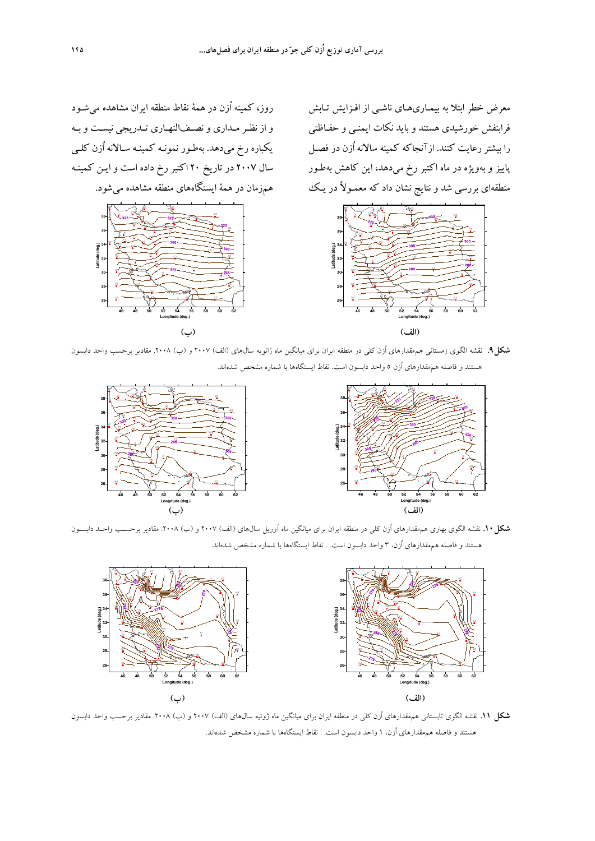روز، كمينه اُزن در همة نقاط منطقه ايران مشاهده ميشـود و از نظـرمـداري ونصـفالنهـاري تـدريجي نيسـت و بـه يكباره رخ ميدهد. بهطـور نمونـه كمينـه سـالانه اُزن كلـي سال 2007 در تاريخ 20 اكتبر رخ داده است و ايـن كمينـه



معرض خطر ابتلا به بيمـاريهـاي ناشـي از افـزايش تـابش فرابنفش خورشيدي هستند و بايد نكات ايمنـي و حفـاظتي را بيشتررعايت كنند. ازآنجاكه كمينه سالانه اُزن در فصـل پاييز و بهويژه در ماه اكتبر رخ ميدهد، اين كاهش بهطـور منطقهای بررسی شد و نتایج نشان داد که معمـولاً در یـک همزمان در همهٔ ایستگاههای منطقه مشاهده میشود.<br>.



**شكل.9** نقشه الگوي زمستاني هممقدارهاي اُزن كلي در منطقه ايران براي ميانگين ماه ژانويه سالهاي (الف) 2007 و (ب) .2008 مقادير برحسب واحد دابسون هستند و فاصله هممقدارهاي اُزن 5 واحد دابسون است. نقاط ايستگاهها با شماره مشخص شدهاند.



**شكل.10** نقشه الگوي بهاري هممقدارهاي اُزن كلي در منطقه ايران براي ميانگين ماه آوريل سالهاي (الف) 2007 و (ب) .2008 مقادير برحسـب واحـد دابسـون هستند و فاصله هممقدارهاي اُزن، 3 واحد دابسون است. . نقاط ايستگاهها با شماره مشخص شدهاند.



**شكل .11** نقشه الگوي تابستاني هممقدارهاي اُزن كلي در منطقه ايران براي ميانگين ماه ژوئيه سالهاي (الف) 2007 و (ب) .2008 مقادير برحسب واحد دابسون هستند و فاصله هممقدارهاي اُزن، 1 واحد دابسون است. . نقاط ايستگاهها با شماره مشخص شدهاند.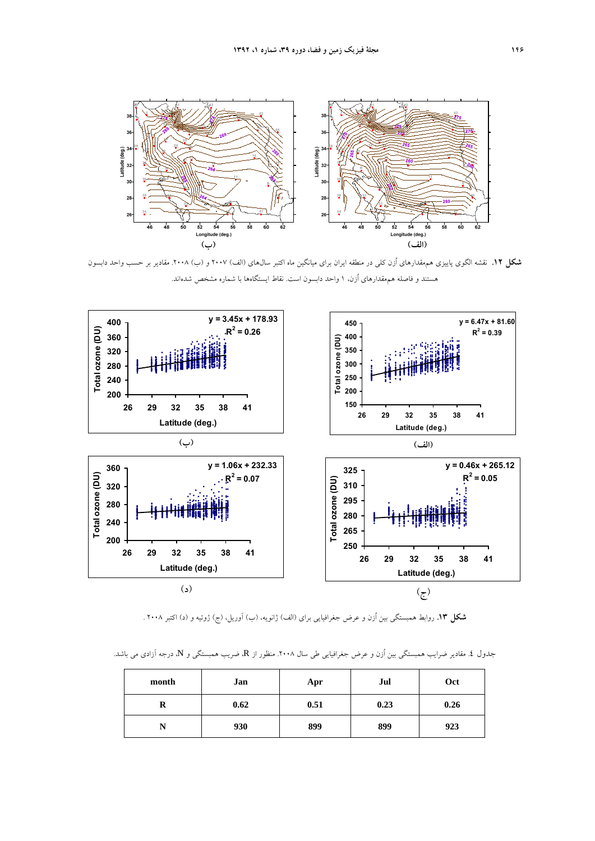

**شكل .12** نقشه الگوي پاييزي هممقدارهاي اُزن كلي در منطقه ايران براي ميانگين ماه اكتبر سالهاي (الف) 2007 و (ب) .2008 مقادير بر حسب واحد دابسون هستند و فاصله هممقدارهاي اُزن، 1 واحد دابسون است. نقاط ايستگاهها با شماره مشخص شدهاند.



**شكل .13** روابط همبستگي بين اُزن و عرض جغرافيايي براي (الف) ژانويه، (ب) آوريل، (ج) ژوئيه و (د) اكتبر 2008 .

جدول ٤. مقادير ضرايب همبستگي بين اُزن و عرض جغرافيايي طي سال ٢٠٠٨. منظور از R، ضريب همبستگي و N، درجه آزادي مي باشد.

| month | Jan  | Apr  | Jul  | Oct  |
|-------|------|------|------|------|
| R     | 0.62 | 0.51 | 0.23 | 0.26 |
| N     | 930  | 899  | 899  | 923  |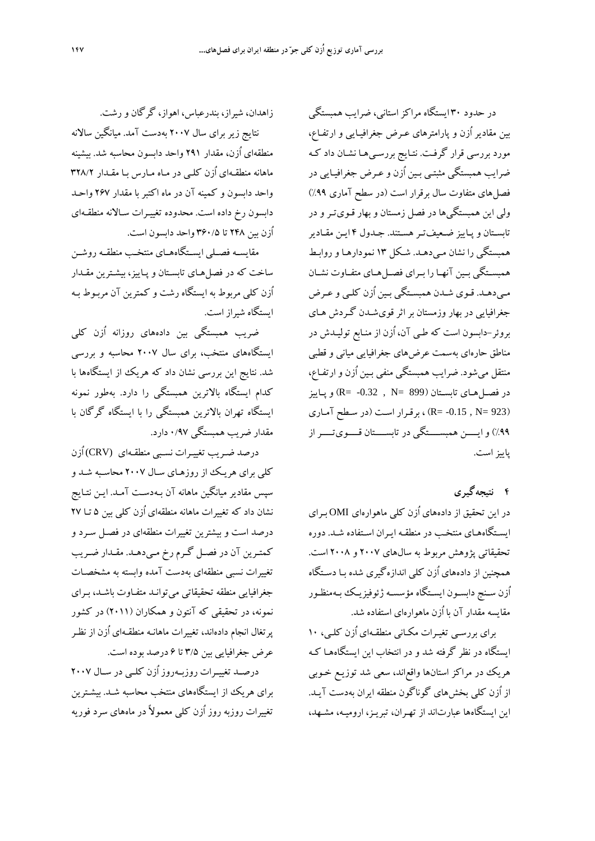در حدود 30 ايستگاه مراكزاستاني، ضرايب همبستگي بين مقادير اُزن و پارامترهاي عـرض جغرافيـايي و ارتفـاع، مورد بررسي قرار گرفـت. نتـايج بررسـيهـا نشـان داد كـه ضرايب همبستگي مثبتـي بـين اُزن و عـرض جغرافيـايي در فصلهاي متفاوت سال برقرار است (در سطح آماري %99) ولي اين همبستگيها در فصل زمستان و بهار قـويتـر و در تابسـتان و پـاييز ضـعيفتـرهسـتند. جـدول 4 ايـن مقـادير همبستگي را نشان مـيدهـد. شـكل 13 نمودارهـا و روابـط همبســتگي بــين آنهــا را بــراي فصــلهــاي متفــاوت نشــان مـيدهـد. قـوي شـدن همبسـتگي بـين اُزن كلـي و عـرض جغرافيايي در بهار وزمستان براثرقويشـدن گـردش هـاي بروئر-دابسون است كه طـي آن، اُزن از منـابع توليـدش در مناطق حارهاي بهسمت عرضهاي جغرافيايي مياني و قطبي منتقل ميشود. ضرايب همبستگي منفي بـين اُزن و ارتفـاع، در فصـلهـاي تابسـتان (899  $N = 0.32$  , P (R=  $\sim 0.32$  ,  $N = 899$ (923 =N , -0.15= R (، برقـرار اسـت (در سـطح آمـاري %99) وايــــن همبســــتگي در تابســــتان قــــويتــــراز پاييزاست.

**4 نتيجهگيري** 

در اين تحقيق از دادههاي اُزن كلي ماهوارهاي OMI بـراي ايسـتگاههـاي منتخـب در منطقـه ايـران اسـتفاده شـد . دوره تحقيقاتي پژوهش مربوط به سالهاي 2007 و 2008 است. همچنين از دادههاي اُزن كلي اندازهگيري شده بـا دسـتگاه اُزن سـنج دابسـون ايسـتگاه مؤسسـه ژئوفيزيـك بـهمنظـور مقايسه مقدار آن با اُزن ماهوارهاي استفاده شد.

براي بررسـي تغيـرات مكـاني منطقـهاي اُزن كلـي، ١٠ ايستگاه در نظر گرفته شد و در انتخاب اين ايستگاههـا كـه هريك در مراكز استانها واقعاند، سعي شد توزيـع خـوبي از اُزن كلي بخشهاي گوناگون منطقه ايران بهدست آيـد. اين ايستگاهها عبارتاند از تهـران، تبريـز، اروميـه، مشـهد،

زاهدان، شيراز، بندرعباس، اهواز، گرگان ورشت. نتايج زير براي سال 2007 بهدست آمد. ميانگين سالانه منطقهاي اُزن، مقدار 291 واحد دابسون محاسبه شد. بيشينه ماهانه منطقـهاي اُزن كلـي در مـاه مـارس بـا مقـدار 328/2 واحد دابسون و كمينه آن در ماه اكتبر با مقدار 267 واحـد دابسون رخ داده است. محدوده تغييـرات سـالانه منطقـهاي اُزن بين 248 تا 360/5 واحد دابسون است.

مقايســه فصــلي ايســتگاههــاي منتخــب منطقــه روشــن ساخت كه در فصلهـاي تابسـتان و پـاييز، بيشـترين مقـدار اُزن كلي مربوط به ايستگاه رشت و كمترين آن مربـوط بـه ايستگاه شيراز است.

ضريب همبستگي بين دادههاي روزانه اُزن كلي ايستگاههاي منتخب، براي سال 2007 محاسبه و بررسي شد. نتايج اين بررسي نشان داد كه هريك از ايستگاهها با كدام ايستگاه بالاترين همبستگي را دارد. بهطور نمونه ايستگاه تهران بالاترين همبستگي را با ايستگاه گرگان با مقدار ضريب همبستگي 0/97 دارد.

درصد ضـريب تغييـرات نسـبي منطقـه اي (CRV (اُزن كلي براي هريـك از روزهـاي سـال 2007 محاسـبه شـد و سپس مقادير ميانگين ماهانه آن بـهدسـت آمـد. ايـن نتـايج نشان داد كه تغييرات ماهانه منطقهاي اُزن كلي بين 5 تـا 27 درصد است و بيشترين تغييرات منطقهاي در فصـل سـرد و كمتـرين آن در فصـل گـرم رخ مـيدهـد. مقـدار ضـريب تغييرات نسبي منطقهاي بهدست آمده وابسته به مشخصـات جغرافيايي منطقه تحقيقاتي ميتوانـد متفـاوت باشـد، بـراي نمونه، در تحقيقي كه آنتون و همكاران (2011) در كشور پرتغال انجام دادهاند، تغييرات ماهانـه منطقـهاي اُزن از نظـر عرض جغرافيايي بين 3/5 تا 6 درصد بوده است.

درصــد تغييــرات روزبــهروز اُزن كلــي در ســال 2007 براي هريك از ايستگاههاي منتخب محاسبه شـد. بيشـترين تغييرات روزبه روز اُزن كلي معمولاً در ماههاي سرد فوريه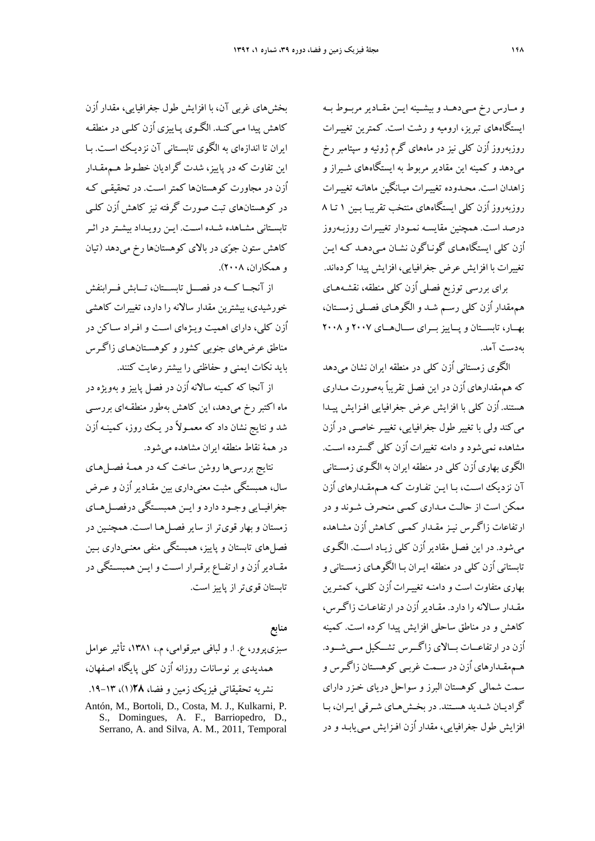و مــارس رخ مــيدهــد وبيشــينه ايــن مقــاديرمربــوط بــه ايستگاههاي تبريز، اروميه و رشت است. كمترين تغييـرات روزبهروز اُزن كلي نيز در ماههاي گرم ژوئيه و سپتامبر رخ ميدهد و كمينه اين مقادير مربوط به ايستگاههاي شـيراز و زاهدان است. محـدوده تغييـرات ميـانگين ماهانـه تغييـرات روزبهروز اُزن كلي ايستگاههاي منتخب تقريبـا بـين 1 تـا 8 درصد است. همچنين مقايسـه نمـودار تغييـرات روزبـهروز اُزن كلي ايستگاههـاي گونـاگون نشـان مـي دهـد كـه ايـن تغييرات با افزايش عرض جغرافيايي، افزايش پيدا كردهاند.

براي بررسي توزيع فصلي اُزن كلي منطقه، نقشـههـاي هممقدار اُزن كلي رسـم شـد و الگوهـاي فصـلي زمسـتان، بهــار، تابســتان و پــاييزبــراي ســال هــاي 2007 و 2008 بهدست آمد.

الگوي زمستاني اُزن كلي در منطقه ايران نشان ميدهد كه هممقدارهاي اُزن در اين فصل تقريباً بهصورت مـداري هستند. اُزن كلي با افزايش عرض جغرافيايي افـزايش پيـدا ميكند ولي با تغيير طول جغرافيايي، تغييـر خاصـي در اُزن مشاهده نميشود و دامنه تغييرات اُزن كلي گسترده اسـت. الگوي بهاري اُزن كلي در منطقه ايران به الگـوي زمسـتاني آن نزديك اسـت، بـا ايـن تفـاوت كـه هـم مقـدارهاي اُزن ممكن است از حالـت مـداري كمـي منحـرف شـوند و در ارتفاعات زاگـرس نيـز مقـدار كمـي كـاهش اُزن مشـاهده ميشود. در اين فصل مقادير اُزن كلي زيـاد اسـت. الگـوي تابستاني اُزن كلي در منطقه ايـران بـا الگوهـاي زمسـتاني و بهاري متفاوت است و دامنـه تغييـرات اُزن كلـي، كمتـر ين مقـدار سـالانه را دارد. مقـاديراُزن در ارتفاعـات زاگـرس، كاهش و در مناطق ساحلي افزايش پيدا كرده است. كمينه اُزن در ارتفاعــات بــالاي زاگــرس تشــكيل مــيشــود. هـممقـدارهاي اُزن در سـمت غربـي كوهسـتان زاگـرس و سمت شمالي كوهستان البرز و سواحل درياي خـزر داراي گراديـان شـديد هسـتند. در بخـشهـاي شـرقي ايـران، بـا افزايش طول جغرافيايي، مقدار اُزن افـزايش مـييابـد و در

بخشهاي غربي آن، با افزايش طول جغرافيايي، مقدار اُزن كاهش پيدا مـيكنـد. الگـوي پـاييزي اُزن كلـي در منطقـه ايران تا اندازهاي به الگوي تابسـتاني آن نزديـك اسـت. بـا اين تفاوت كه در پاييز، شدت گراديان خطـوط هـممقـدار اُزن در مجاورت كوهستانها كمتراسـت. در تحقيقـي كـه در كوهستانهاي تبت صورت گرفته نيز كاهش اُزن كلـي تابسـتاني مشـاهده شـده اسـت. ايـن رويـداد بيشـتردر اثـر كاهش ستون جوي در بالاي كوهستانها رخ ميدهد (تيان و همكاران، 2008).

از آنجـــا كـــه در فصـــل تابســـتان، تـــابش فـــرابنفش خورشيدي، بيشترين مقدار سالانه را دارد، تغييرات كاهشي اُزن كلي، داراي اهميت ويـژهاي اسـت و افـراد سـاكن در مناطق عرضهاي جنوبي كشور و كوهسـتانهـاي زاگـرس بايد نكات ايمني و حفاظتي را بيشتررعايت كنند.

از آنجا كه كمينه سالانه اُزن در فصل پاييز و بهويژه در ماه اكتبر رخ ميدهد، اين كاهش بهطور منطقـهاي بررسـي شد و نتايج نشان داد كه معمـولاً در يـك روز، كمينـه اُزن در همة نقاط منطقه ايران مشاهده ميشود.

نتايج بررسيها روشن ساخت كـه در همـة فصـلهـاي سال، همبستگي مثبت معنيداري بين مقـادير اُزن و عـرض جغرافيــايي وجــود دارد وايــن همبســتگي درفصــلهــاي زمستان و بهار قويتر از ساير فصـلهـا اسـت. همچنـين در فصلهاي تابستان و پاييز، همبستگي منفي معنـيداري بـين مقــاديراُزن و ارتفــاع برقــرار اســت وايــن همبســتگي در تابستان قويتراز پاييزاست.

**منابع**  سبزيپرور، ع. ا. و لبافي ميرقوامي، م،. ،1381 تأثير عوامل همديدي بر نوسانات روزانه اُزن كلي پايگاه اصفهان، نشريه تحقيقاتي فيزيك زمين و فضا، **28**(1)، .19-13

Antón, M., Bortoli, D., Costa, M. J., Kulkarni, P. S., Domingues, A. F., Barriopedro, D., Serrano, A. and Silva, A. M., 2011, Temporal